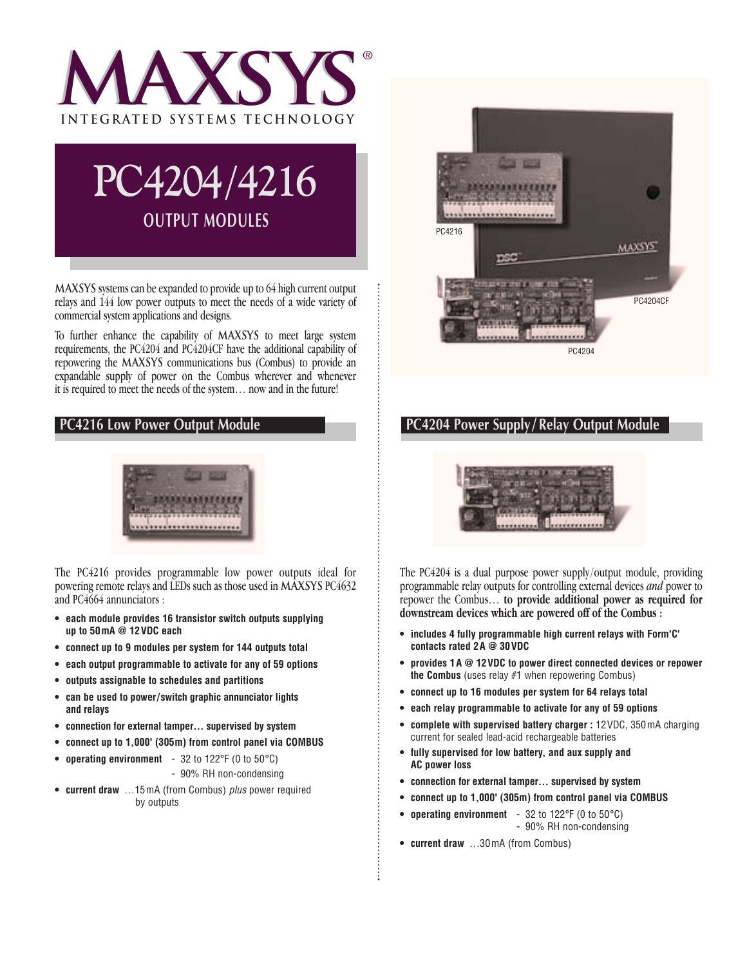



**MAXSYS** systems can be expanded to provide up to 64 high current output relays and 144 low power outputs to meet the needs of a wide variety of commercial system applications and designs.

To further enhance the capability of **Maxsys** to meet large system requirements, the PC4204 and PC4204CF have the additional capability of repowering the **Maxsys** communications bus (Combus) to provide an expandable supply of power on the Combus wherever and whenever it is required to meet the needs of the system… now and in the future!

## **PC4216 Low Power Output Module**



The PC4216 provides programmable low power outputs ideal for powering remote relays and LEDs such as those used in **Maxsys** PC4632 and PC4664 annunciators :

- **each module provides 16 transistor switch outputs supplying up to 50mA @ 12VDC each**
- **connect up to 9 modules per system for 144 outputs total**
- **each output programmable to activate for any of 59 options**
- **outputs assignable to schedules and partitions**
- **can be used to power/switch graphic annunciator lights and relays**
- **connection for external tamper… supervised by system**
- **connect up to 1,000' (305m) from control panel via COMBUS**
- **operating environment** 32 to 122°F (0 to 50°C)
	- 90% RH non-condensing
- **current draw** …15mA (from Combus) *plus* power required by outputs



### **PC4204 Power Supply/ Relay Output Module**



The PC4204 is a dual purpose power supply/output module, providing programmable relay outputs for controlling external devices *and* power to repower the Combus… **to provide additional power as required for downstream devices which are powered off of the Combus :**

- **includes 4 fully programmable high current relays with Form'C' contacts rated 2A @ 30VDC**
- **provides 1A @ 12VDC to power direct connected devices or repower the Combus** (uses relay #1 when repowering Combus)
- **connect up to 16 modules per system for 64 relays total**
- **each relay programmable to activate for any of 59 options**
- **complete with supervised battery charger :** 12VDC, 350mA charging current for sealed lead-acid rechargeable batteries
- **fully supervised for low battery, and aux supply and AC power loss**
- **connection for external tamper… supervised by system**
- **connect up to 1,000' (305m) from control panel via COMBUS**
- **operating environment** 32 to 122°F (0 to 50°C) - 90% RH non-condensing
- **current draw** …30mA (from Combus)